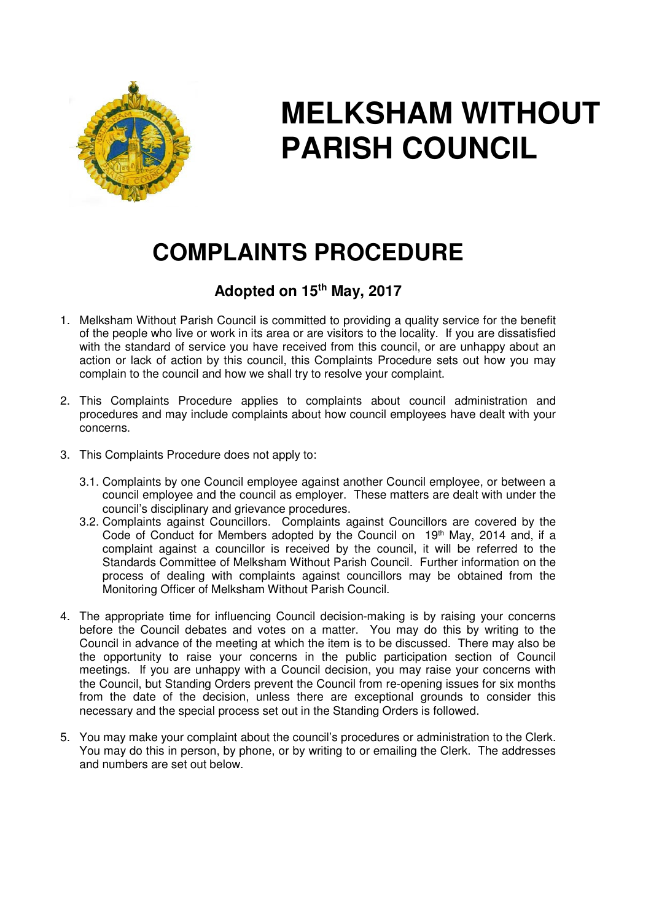

## **MELKSHAM WITHOUT PARISH COUNCIL**

## **COMPLAINTS PROCEDURE**

## **Adopted on 15th May, 2017**

- 1. Melksham Without Parish Council is committed to providing a quality service for the benefit of the people who live or work in its area or are visitors to the locality. If you are dissatisfied with the standard of service you have received from this council, or are unhappy about an action or lack of action by this council, this Complaints Procedure sets out how you may complain to the council and how we shall try to resolve your complaint.
- 2. This Complaints Procedure applies to complaints about council administration and procedures and may include complaints about how council employees have dealt with your concerns.
- 3. This Complaints Procedure does not apply to:
	- 3.1. Complaints by one Council employee against another Council employee, or between a council employee and the council as employer. These matters are dealt with under the council's disciplinary and grievance procedures.
	- 3.2. Complaints against Councillors. Complaints against Councillors are covered by the Code of Conduct for Members adopted by the Council on 19<sup>th</sup> May, 2014 and, if a complaint against a councillor is received by the council, it will be referred to the Standards Committee of Melksham Without Parish Council. Further information on the process of dealing with complaints against councillors may be obtained from the Monitoring Officer of Melksham Without Parish Council.
- 4. The appropriate time for influencing Council decision-making is by raising your concerns before the Council debates and votes on a matter. You may do this by writing to the Council in advance of the meeting at which the item is to be discussed. There may also be the opportunity to raise your concerns in the public participation section of Council meetings. If you are unhappy with a Council decision, you may raise your concerns with the Council, but Standing Orders prevent the Council from re-opening issues for six months from the date of the decision, unless there are exceptional grounds to consider this necessary and the special process set out in the Standing Orders is followed.
- 5. You may make your complaint about the council's procedures or administration to the Clerk. You may do this in person, by phone, or by writing to or emailing the Clerk. The addresses and numbers are set out below.